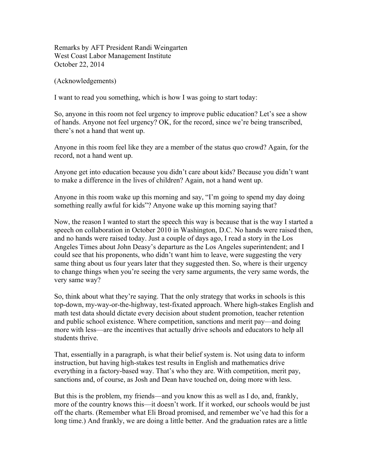Remarks by AFT President Randi Weingarten West Coast Labor Management Institute October 22, 2014

(Acknowledgements)

I want to read you something, which is how I was going to start today:

So, anyone in this room not feel urgency to improve public education? Let's see a show of hands. Anyone not feel urgency? OK, for the record, since we're being transcribed, there's not a hand that went up.

Anyone in this room feel like they are a member of the status quo crowd? Again, for the record, not a hand went up.

Anyone get into education because you didn't care about kids? Because you didn't want to make a difference in the lives of children? Again, not a hand went up.

Anyone in this room wake up this morning and say, "I'm going to spend my day doing something really awful for kids"? Anyone wake up this morning saying that?

Now, the reason I wanted to start the speech this way is because that is the way I started a speech on collaboration in October 2010 in Washington, D.C. No hands were raised then, and no hands were raised today. Just a couple of days ago, I read a story in the Los Angeles Times about John Deasy's departure as the Los Angeles superintendent; and I could see that his proponents, who didn't want him to leave, were suggesting the very same thing about us four years later that they suggested then. So, where is their urgency to change things when you're seeing the very same arguments, the very same words, the very same way?

So, think about what they're saying. That the only strategy that works in schools is this top-down, my-way-or-the-highway, test-fixated approach. Where high-stakes English and math test data should dictate every decision about student promotion, teacher retention and public school existence. Where competition, sanctions and merit pay—and doing more with less—are the incentives that actually drive schools and educators to help all students thrive.

That, essentially in a paragraph, is what their belief system is. Not using data to inform instruction, but having high-stakes test results in English and mathematics drive everything in a factory-based way. That's who they are. With competition, merit pay, sanctions and, of course, as Josh and Dean have touched on, doing more with less.

But this is the problem, my friends—and you know this as well as I do, and, frankly, more of the country knows this—it doesn't work. If it worked, our schools would be just off the charts. (Remember what Eli Broad promised, and remember we've had this for a long time.) And frankly, we are doing a little better. And the graduation rates are a little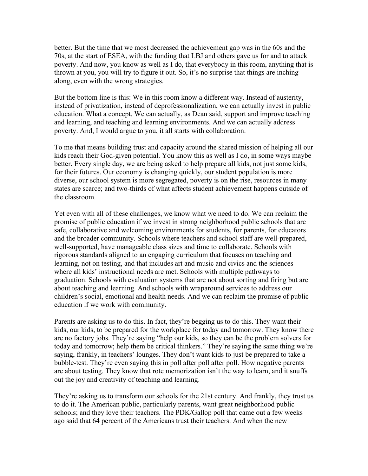better. But the time that we most decreased the achievement gap was in the 60s and the 70s, at the start of ESEA, with the funding that LBJ and others gave us for and to attack poverty. And now, you know as well as I do, that everybody in this room, anything that is thrown at you, you will try to figure it out. So, it's no surprise that things are inching along, even with the wrong strategies.

But the bottom line is this: We in this room know a different way. Instead of austerity, instead of privatization, instead of deprofessionalization, we can actually invest in public education. What a concept. We can actually, as Dean said, support and improve teaching and learning, and teaching and learning environments. And we can actually address poverty. And, I would argue to you, it all starts with collaboration.

To me that means building trust and capacity around the shared mission of helping all our kids reach their God-given potential. You know this as well as I do, in some ways maybe better. Every single day, we are being asked to help prepare all kids, not just some kids, for their futures. Our economy is changing quickly, our student population is more diverse, our school system is more segregated, poverty is on the rise, resources in many states are scarce; and two-thirds of what affects student achievement happens outside of the classroom.

Yet even with all of these challenges, we know what we need to do. We can reclaim the promise of public education if we invest in strong neighborhood public schools that are safe, collaborative and welcoming environments for students, for parents, for educators and the broader community. Schools where teachers and school staff are well-prepared, well-supported, have manageable class sizes and time to collaborate. Schools with rigorous standards aligned to an engaging curriculum that focuses on teaching and learning, not on testing, and that includes art and music and civics and the sciences where all kids' instructional needs are met. Schools with multiple pathways to graduation. Schools with evaluation systems that are not about sorting and firing but are about teaching and learning. And schools with wraparound services to address our children's social, emotional and health needs. And we can reclaim the promise of public education if we work with community.

Parents are asking us to do this. In fact, they're begging us to do this. They want their kids, our kids, to be prepared for the workplace for today and tomorrow. They know there are no factory jobs. They're saying "help our kids, so they can be the problem solvers for today and tomorrow; help them be critical thinkers." They're saying the same thing we're saying, frankly, in teachers' lounges. They don't want kids to just be prepared to take a bubble-test. They're even saying this in poll after poll after poll. How negative parents are about testing. They know that rote memorization isn't the way to learn, and it snuffs out the joy and creativity of teaching and learning.

They're asking us to transform our schools for the 21st century. And frankly, they trust us to do it. The American public, particularly parents, want great neighborhood public schools; and they love their teachers. The PDK/Gallop poll that came out a few weeks ago said that 64 percent of the Americans trust their teachers. And when the new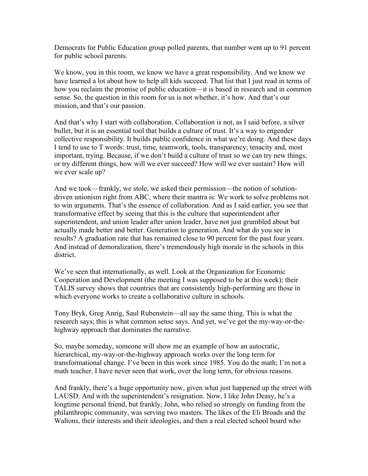Democrats for Public Education group polled parents, that number went up to 91 percent for public school parents.

We know, you in this room, we know we have a great responsibility. And we know we have learned a lot about how to help all kids succeed. That list that I just read in terms of how you reclaim the promise of public education—it is based in research and in common sense. So, the question in this room for us is not whether, it's how. And that's our mission, and that's our passion.

And that's why I start with collaboration. Collaboration is not, as I said before, a silver bullet, but it is an essential tool that builds a culture of trust. It's a way to engender collective responsibility. It builds public confidence in what we're doing. And these days I tend to use to T words: trust, time, teamwork, tools, transparency, tenacity and, most important, trying. Because, if we don't build a culture of trust so we can try new things, or try different things, how will we ever succeed? How will we ever sustain? How will we ever scale up?

And we took—frankly, we stole, we asked their permission—the notion of solutiondriven unionism right from ABC, where their mantra is: We work to solve problems not to win arguments. That's the essence of collaboration. And as I said earlier, you see that transformative effect by seeing that this is the culture that superintendent after superintendent, and union leader after union leader, have not just grumbled about but actually made better and better. Generation to generation. And what do you see in results? A graduation rate that has remained close to 90 percent for the past four years. And instead of demoralization, there's tremendously high morale in the schools in this district.

We've seen that internationally, as well. Look at the Organization for Economic Cooperation and Development (the meeting I was supposed to be at this week); their TALIS survey shows that countries that are consistently high-performing are those in which everyone works to create a collaborative culture in schools.

Tony Bryk, Greg Anrig, Saul Rubenstein—all say the same thing. This is what the research says; this is what common sense says. And yet, we've got the my-way-or-thehighway approach that dominates the narrative.

So, maybe someday, someone will show me an example of how an autocratic, hierarchical, my-way-or-the-highway approach works over the long term for transformational change. I've been in this work since 1985. You do the math; I'm not a math teacher. I have never seen that work, over the long term, for obvious reasons.

And frankly, there's a huge opportunity now, given what just happened up the street with LAUSD. And with the superintendent's resignation. Now, I like John Deasy, he's a longtime personal friend, but frankly, John, who relied so strongly on funding from the philanthropic community, was serving two masters. The likes of the Eli Broads and the Waltons, their interests and their ideologies, and then a real elected school board who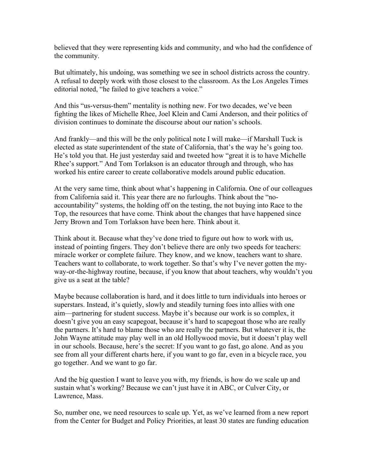believed that they were representing kids and community, and who had the confidence of the community.

But ultimately, his undoing, was something we see in school districts across the country. A refusal to deeply work with those closest to the classroom. As the Los Angeles Times editorial noted, "he failed to give teachers a voice."

And this "us-versus-them" mentality is nothing new. For two decades, we've been fighting the likes of Michelle Rhee, Joel Klein and Cami Anderson, and their politics of division continues to dominate the discourse about our nation's schools.

And frankly—and this will be the only political note I will make—if Marshall Tuck is elected as state superintendent of the state of California, that's the way he's going too. He's told you that. He just yesterday said and tweeted how "great it is to have Michelle Rhee's support." And Tom Torlakson is an educator through and through, who has worked his entire career to create collaborative models around public education.

At the very same time, think about what's happening in California. One of our colleagues from California said it. This year there are no furloughs. Think about the "noaccountability" systems, the holding off on the testing, the not buying into Race to the Top, the resources that have come. Think about the changes that have happened since Jerry Brown and Tom Torlakson have been here. Think about it.

Think about it. Because what they've done tried to figure out how to work with us, instead of pointing fingers. They don't believe there are only two speeds for teachers: miracle worker or complete failure. They know, and we know, teachers want to share. Teachers want to collaborate, to work together. So that's why I've never gotten the myway-or-the-highway routine, because, if you know that about teachers, why wouldn't you give us a seat at the table?

Maybe because collaboration is hard, and it does little to turn individuals into heroes or superstars. Instead, it's quietly, slowly and steadily turning foes into allies with one aim—partnering for student success. Maybe it's because our work is so complex, it doesn't give you an easy scapegoat, because it's hard to scapegoat those who are really the partners. It's hard to blame those who are really the partners. But whatever it is, the John Wayne attitude may play well in an old Hollywood movie, but it doesn't play well in our schools. Because, here's the secret: If you want to go fast, go alone. And as you see from all your different charts here, if you want to go far, even in a bicycle race, you go together. And we want to go far.

And the big question I want to leave you with, my friends, is how do we scale up and sustain what's working? Because we can't just have it in ABC, or Culver City, or Lawrence, Mass.

So, number one, we need resources to scale up. Yet, as we've learned from a new report from the Center for Budget and Policy Priorities, at least 30 states are funding education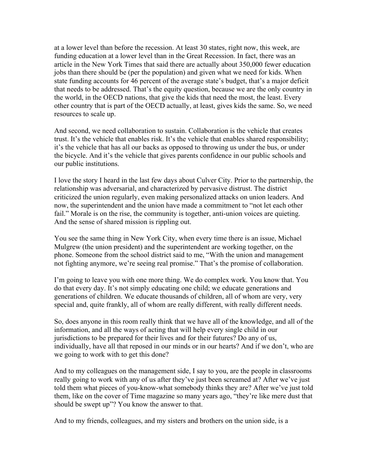at a lower level than before the recession. At least 30 states, right now, this week, are funding education at a lower level than in the Great Recession. In fact, there was an article in the New York Times that said there are actually about 350,000 fewer education jobs than there should be (per the population) and given what we need for kids. When state funding accounts for 46 percent of the average state's budget, that's a major deficit that needs to be addressed. That's the equity question, because we are the only country in the world, in the OECD nations, that give the kids that need the most, the least. Every other country that is part of the OECD actually, at least, gives kids the same. So, we need resources to scale up.

And second, we need collaboration to sustain. Collaboration is the vehicle that creates trust. It's the vehicle that enables risk. It's the vehicle that enables shared responsibility; it's the vehicle that has all our backs as opposed to throwing us under the bus, or under the bicycle. And it's the vehicle that gives parents confidence in our public schools and our public institutions.

I love the story I heard in the last few days about Culver City. Prior to the partnership, the relationship was adversarial, and characterized by pervasive distrust. The district criticized the union regularly, even making personalized attacks on union leaders. And now, the superintendent and the union have made a commitment to "not let each other fail." Morale is on the rise, the community is together, anti-union voices are quieting. And the sense of shared mission is rippling out.

You see the same thing in New York City, when every time there is an issue, Michael Mulgrew (the union president) and the superintendent are working together, on the phone. Someone from the school district said to me, "With the union and management not fighting anymore, we're seeing real promise." That's the promise of collaboration.

I'm going to leave you with one more thing. We do complex work. You know that. You do that every day. It's not simply educating one child; we educate generations and generations of children. We educate thousands of children, all of whom are very, very special and, quite frankly, all of whom are really different, with really different needs.

So, does anyone in this room really think that we have all of the knowledge, and all of the information, and all the ways of acting that will help every single child in our jurisdictions to be prepared for their lives and for their futures? Do any of us, individually, have all that reposed in our minds or in our hearts? And if we don't, who are we going to work with to get this done?

And to my colleagues on the management side, I say to you, are the people in classrooms really going to work with any of us after they've just been screamed at? After we've just told them what pieces of you-know-what somebody thinks they are? After we've just told them, like on the cover of Time magazine so many years ago, "they're like mere dust that should be swept up"? You know the answer to that.

And to my friends, colleagues, and my sisters and brothers on the union side, is a